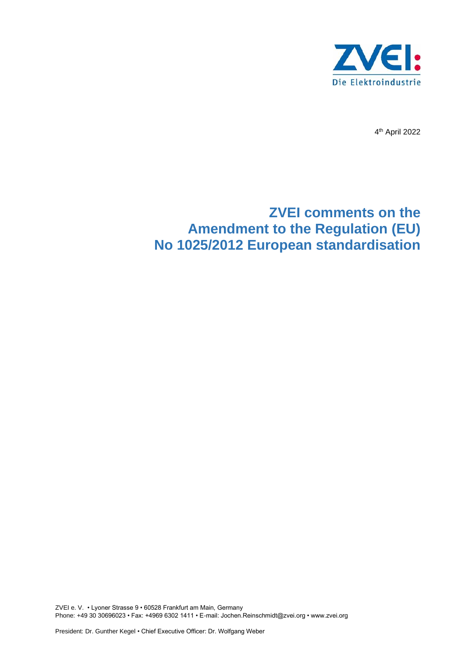

4 th April 2022

# **ZVEI comments on the Amendment to the Regulation (EU) No 1025/2012 European standardisation**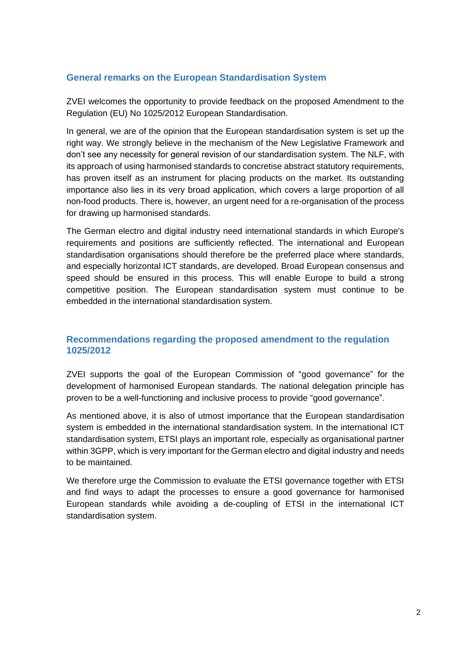### **General remarks on the European Standardisation System**

ZVEI welcomes the opportunity to provide feedback on the proposed Amendment to the Regulation (EU) No 1025/2012 European Standardisation.

In general, we are of the opinion that the European standardisation system is set up the right way. We strongly believe in the mechanism of the New Legislative Framework and don't see any necessity for general revision of our standardisation system. The NLF, with its approach of using harmonised standards to concretise abstract statutory requirements, has proven itself as an instrument for placing products on the market. Its outstanding importance also lies in its very broad application, which covers a large proportion of all non-food products. There is, however, an urgent need for a re-organisation of the process for drawing up harmonised standards.

The German electro and digital industry need international standards in which Europe's requirements and positions are sufficiently reflected. The international and European standardisation organisations should therefore be the preferred place where standards, and especially horizontal ICT standards, are developed. Broad European consensus and speed should be ensured in this process. This will enable Europe to build a strong competitive position. The European standardisation system must continue to be embedded in the international standardisation system.

#### **Recommendations regarding the proposed amendment to the regulation 1025/2012**

ZVEI supports the goal of the European Commission of "good governance" for the development of harmonised European standards. The national delegation principle has proven to be a well-functioning and inclusive process to provide "good governance".

As mentioned above, it is also of utmost importance that the European standardisation system is embedded in the international standardisation system. In the international ICT standardisation system, ETSI plays an important role, especially as organisational partner within 3GPP, which is very important for the German electro and digital industry and needs to be maintained.

We therefore urge the Commission to evaluate the ETSI governance together with ETSI and find ways to adapt the processes to ensure a good governance for harmonised European standards while avoiding a de-coupling of ETSI in the international ICT standardisation system.